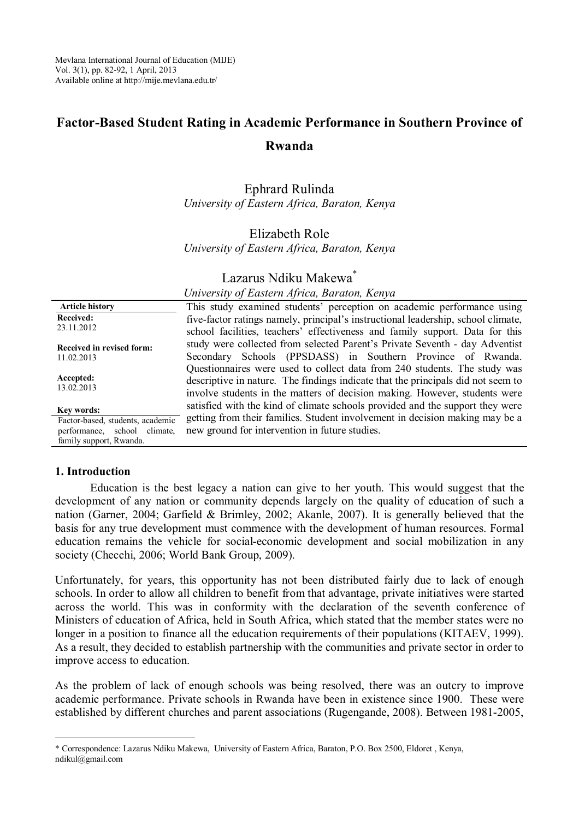# **Factor-Based Student Rating in Academic Performance in Southern Province of Rwanda**

Ephrard Rulinda *University of Eastern Africa, Baraton, Kenya*

## Elizabeth Role *University of Eastern Africa, Baraton, Kenya*

# Lazarus Ndiku Makewa<sup>\*</sup>

#### *University of Eastern Africa, Baraton, Kenya*

| <b>Article history</b>           | This study examined students' perception on academic performance using                                                                                                                                                                      |
|----------------------------------|---------------------------------------------------------------------------------------------------------------------------------------------------------------------------------------------------------------------------------------------|
| Received:                        | five-factor ratings namely, principal's instructional leadership, school climate,                                                                                                                                                           |
| 23.11.2012                       | school facilities, teachers' effectiveness and family support. Data for this                                                                                                                                                                |
| Received in revised form:        | study were collected from selected Parent's Private Seventh - day Adventist                                                                                                                                                                 |
| 11.02.2013                       | Secondary Schools (PPSDASS) in Southern Province of Rwanda.                                                                                                                                                                                 |
| Accepted:<br>13.02.2013          | Questionnaires were used to collect data from 240 students. The study was<br>descriptive in nature. The findings indicate that the principals did not seem to<br>involve students in the matters of decision making. However, students were |
| Key words:                       | satisfied with the kind of climate schools provided and the support they were                                                                                                                                                               |
| Factor-based, students, academic | getting from their families. Student involvement in decision making may be a                                                                                                                                                                |
| climate.<br>performance, school  | new ground for intervention in future studies.                                                                                                                                                                                              |
| family support, Rwanda.          |                                                                                                                                                                                                                                             |

#### **1. Introduction**

Education is the best legacy a nation can give to her youth. This would suggest that the development of any nation or community depends largely on the quality of education of such a nation (Garner, 2004; Garfield & Brimley, 2002; Akanle, 2007). It is generally believed that the basis for any true development must commence with the development of human resources. Formal education remains the vehicle for social-economic development and social mobilization in any society (Checchi, 2006; World Bank Group, 2009).

Unfortunately, for years, this opportunity has not been distributed fairly due to lack of enough schools. In order to allow all children to benefit from that advantage, private initiatives were started across the world. This was in conformity with the declaration of the seventh conference of Ministers of education of Africa, held in South Africa, which stated that the member states were no longer in a position to finance all the education requirements of their populations (KITAEV, 1999). As a result, they decided to establish partnership with the communities and private sector in order to improve access to education.

As the problem of lack of enough schools was being resolved, there was an outcry to improve academic performance. Private schools in Rwanda have been in existence since 1900. These were established by different churches and parent associations (Rugengande, 2008). Between 1981-2005,

 $\overline{a}$ \* Correspondence: Lazarus Ndiku Makewa, University of Eastern Africa, Baraton, P.O. Box 2500, Eldoret , Kenya, ndikul@gmail.com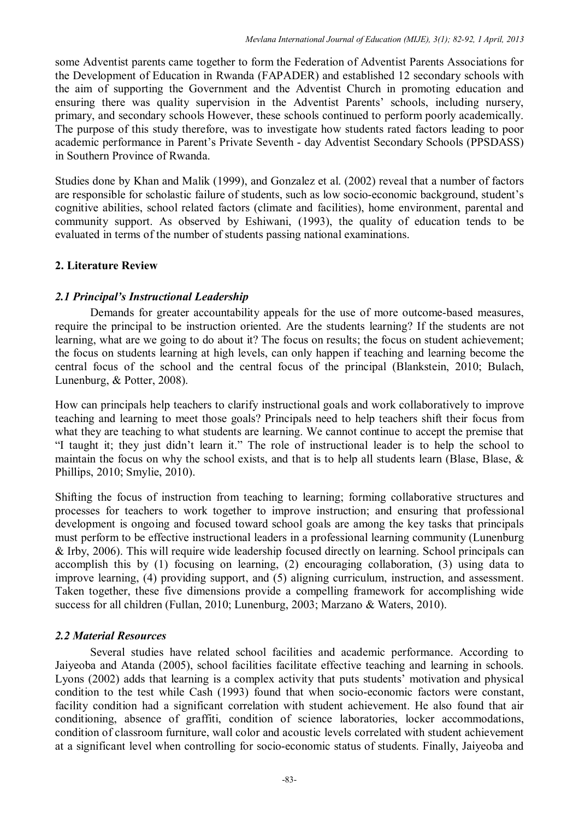some Adventist parents came together to form the Federation of Adventist Parents Associations for the Development of Education in Rwanda (FAPADER) and established 12 secondary schools with the aim of supporting the Government and the Adventist Church in promoting education and ensuring there was quality supervision in the Adventist Parents' schools, including nursery, primary, and secondary schools However, these schools continued to perform poorly academically. The purpose of this study therefore, was to investigate how students rated factors leading to poor academic performance in Parent's Private Seventh - day Adventist Secondary Schools (PPSDASS) in Southern Province of Rwanda.

Studies done by Khan and Malik (1999), and Gonzalez et al. (2002) reveal that a number of factors are responsible for scholastic failure of students, such as low socio-economic background, student's cognitive abilities, school related factors (climate and facilities), home environment, parental and community support. As observed by Eshiwani, (1993), the quality of education tends to be evaluated in terms of the number of students passing national examinations.

# **2. Literature Review**

## *2.1 Principal's Instructional Leadership*

Demands for greater accountability appeals for the use of more outcome-based measures, require the principal to be instruction oriented. Are the students learning? If the students are not learning, what are we going to do about it? The focus on results; the focus on student achievement; the focus on students learning at high levels, can only happen if teaching and learning become the central focus of the school and the central focus of the principal (Blankstein, 2010; Bulach, Lunenburg, & Potter, 2008).

How can principals help teachers to clarify instructional goals and work collaboratively to improve teaching and learning to meet those goals? Principals need to help teachers shift their focus from what they are teaching to what students are learning. We cannot continue to accept the premise that "I taught it; they just didn't learn it." The role of instructional leader is to help the school to maintain the focus on why the school exists, and that is to help all students learn (Blase, Blase, & Phillips, 2010; Smylie, 2010).

Shifting the focus of instruction from teaching to learning; forming collaborative structures and processes for teachers to work together to improve instruction; and ensuring that professional development is ongoing and focused toward school goals are among the key tasks that principals must perform to be effective instructional leaders in a professional learning community (Lunenburg & Irby, 2006). This will require wide leadership focused directly on learning. School principals can accomplish this by (1) focusing on learning, (2) encouraging collaboration, (3) using data to improve learning, (4) providing support, and (5) aligning curriculum, instruction, and assessment. Taken together, these five dimensions provide a compelling framework for accomplishing wide success for all children (Fullan, 2010; Lunenburg, 2003; Marzano & Waters, 2010).

### *2.2 Material Resources*

Several studies have related school facilities and academic performance. According to Jaiyeoba and Atanda (2005), school facilities facilitate effective teaching and learning in schools. Lyons (2002) adds that learning is a complex activity that puts students' motivation and physical condition to the test while Cash (1993) found that when socio-economic factors were constant, facility condition had a significant correlation with student achievement. He also found that air conditioning, absence of graffiti, condition of science laboratories, locker accommodations, condition of classroom furniture, wall color and acoustic levels correlated with student achievement at a significant level when controlling for socio-economic status of students. Finally, Jaiyeoba and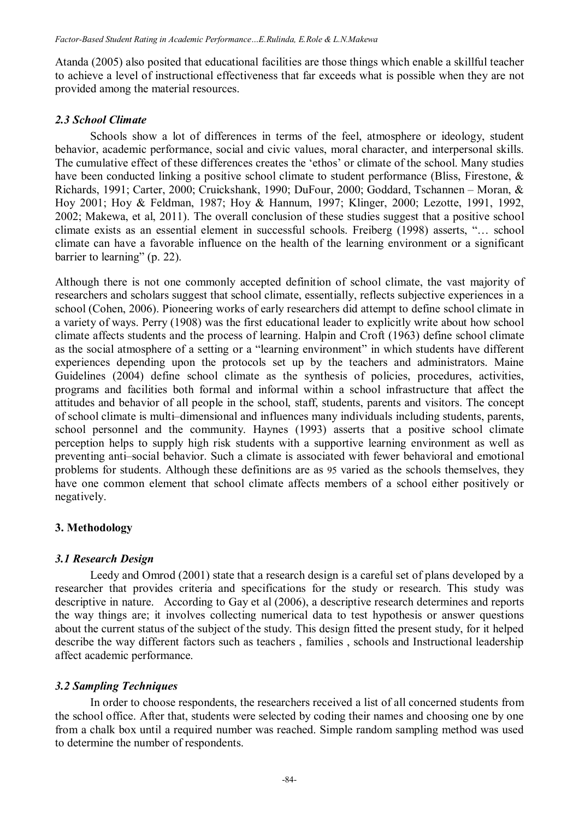Atanda (2005) also posited that educational facilities are those things which enable a skillful teacher to achieve a level of instructional effectiveness that far exceeds what is possible when they are not provided among the material resources.

#### *2.3 School Climate*

Schools show a lot of differences in terms of the feel, atmosphere or ideology, student behavior, academic performance, social and civic values, moral character, and interpersonal skills. The cumulative effect of these differences creates the 'ethos' or climate of the school. Many studies have been conducted linking a positive school climate to student performance (Bliss, Firestone, & Richards, 1991; Carter, 2000; Cruickshank, 1990; DuFour, 2000; Goddard, Tschannen – Moran, & Hoy 2001; Hoy & Feldman, 1987; Hoy & Hannum, 1997; Klinger, 2000; Lezotte, 1991, 1992, 2002; Makewa, et al, 2011). The overall conclusion of these studies suggest that a positive school climate exists as an essential element in successful schools. Freiberg (1998) asserts, "… school climate can have a favorable influence on the health of the learning environment or a significant barrier to learning" (p. 22).

Although there is not one commonly accepted definition of school climate, the vast majority of researchers and scholars suggest that school climate, essentially, reflects subjective experiences in a school (Cohen, 2006). Pioneering works of early researchers did attempt to define school climate in a variety of ways. Perry (1908) was the first educational leader to explicitly write about how school climate affects students and the process of learning. Halpin and Croft (1963) define school climate as the social atmosphere of a setting or a "learning environment" in which students have different experiences depending upon the protocols set up by the teachers and administrators. Maine Guidelines (2004) define school climate as the synthesis of policies, procedures, activities, programs and facilities both formal and informal within a school infrastructure that affect the attitudes and behavior of all people in the school, staff, students, parents and visitors. The concept of school climate is multi–dimensional and influences many individuals including students, parents, school personnel and the community. Haynes (1993) asserts that a positive school climate perception helps to supply high risk students with a supportive learning environment as well as preventing anti–social behavior. Such a climate is associated with fewer behavioral and emotional problems for students. Although these definitions are as 95 varied as the schools themselves, they have one common element that school climate affects members of a school either positively or negatively.

### **3. Methodology**

### *3.1 Research Design*

Leedy and Omrod (2001) state that a research design is a careful set of plans developed by a researcher that provides criteria and specifications for the study or research. This study was descriptive in nature. According to Gay et al (2006), a descriptive research determines and reports the way things are; it involves collecting numerical data to test hypothesis or answer questions about the current status of the subject of the study. This design fitted the present study, for it helped describe the way different factors such as teachers , families , schools and Instructional leadership affect academic performance.

### *3.2 Sampling Techniques*

In order to choose respondents, the researchers received a list of all concerned students from the school office. After that, students were selected by coding their names and choosing one by one from a chalk box until a required number was reached. Simple random sampling method was used to determine the number of respondents.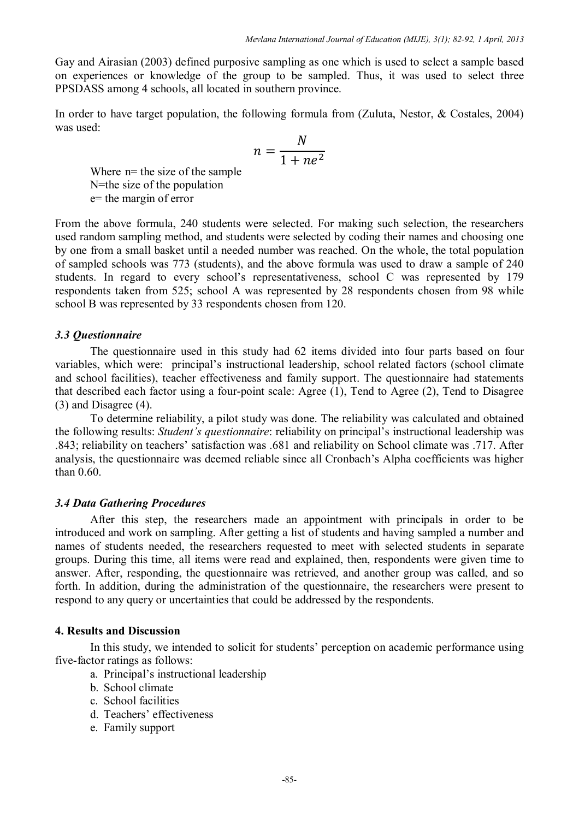Gay and Airasian (2003) defined purposive sampling as one which is used to select a sample based on experiences or knowledge of the group to be sampled. Thus, it was used to select three PPSDASS among 4 schools, all located in southern province.

In order to have target population, the following formula from (Zuluta, Nestor, & Costales, 2004) was used:

$$
n = \frac{N}{1 + ne^2}
$$

Where  $n=$  the size of the sample N=the size of the population e= the margin of error

From the above formula, 240 students were selected. For making such selection, the researchers used random sampling method, and students were selected by coding their names and choosing one by one from a small basket until a needed number was reached. On the whole, the total population of sampled schools was 773 (students), and the above formula was used to draw a sample of 240 students. In regard to every school's representativeness, school C was represented by 179 respondents taken from 525; school A was represented by 28 respondents chosen from 98 while school B was represented by 33 respondents chosen from 120.

### *3.3 Questionnaire*

The questionnaire used in this study had 62 items divided into four parts based on four variables, which were: principal's instructional leadership, school related factors (school climate and school facilities), teacher effectiveness and family support. The questionnaire had statements that described each factor using a four-point scale: Agree (1), Tend to Agree (2), Tend to Disagree (3) and Disagree (4).

To determine reliability, a pilot study was done. The reliability was calculated and obtained the following results: *Student's questionnaire*: reliability on principal's instructional leadership was .843; reliability on teachers' satisfaction was .681 and reliability on School climate was .717. After analysis, the questionnaire was deemed reliable since all Cronbach's Alpha coefficients was higher than 0.60.

### *3.4 Data Gathering Procedures*

After this step, the researchers made an appointment with principals in order to be introduced and work on sampling. After getting a list of students and having sampled a number and names of students needed, the researchers requested to meet with selected students in separate groups. During this time, all items were read and explained, then, respondents were given time to answer. After, responding, the questionnaire was retrieved, and another group was called, and so forth. In addition, during the administration of the questionnaire, the researchers were present to respond to any query or uncertainties that could be addressed by the respondents.

### **4. Results and Discussion**

In this study, we intended to solicit for students' perception on academic performance using five-factor ratings as follows:

- a. Principal's instructional leadership
- b. School climate
- c. School facilities
- d. Teachers' effectiveness
- e. Family support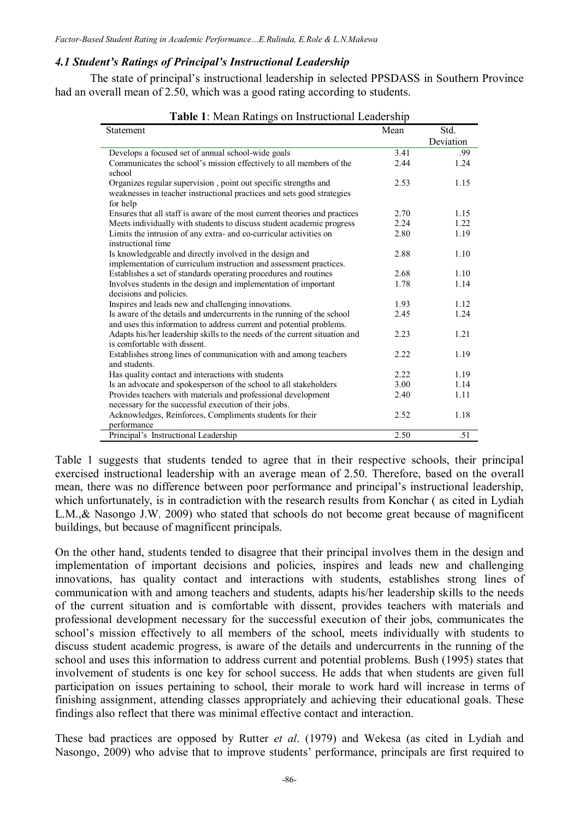#### *4.1 Student's Ratings of Principal's Instructional Leadership*

The state of principal's instructional leadership in selected PPSDASS in Southern Province had an overall mean of 2.50, which was a good rating according to students.

| <b>Table 1.</b> Mcall Kathles on histructional Leagership<br>Statement                                                                         |      | Std.      |
|------------------------------------------------------------------------------------------------------------------------------------------------|------|-----------|
|                                                                                                                                                | Mean | Deviation |
| Develops a focused set of annual school-wide goals                                                                                             | 3.41 | .99       |
| Communicates the school's mission effectively to all members of the<br>school                                                                  | 2.44 | 1.24      |
| Organizes regular supervision, point out specific strengths and                                                                                | 2.53 | 1.15      |
| weaknesses in teacher instructional practices and sets good strategies                                                                         |      |           |
| for help                                                                                                                                       |      |           |
| Ensures that all staff is aware of the most current theories and practices                                                                     | 2.70 | 1.15      |
| Meets individually with students to discuss student academic progress                                                                          | 2.24 | 1.22      |
| Limits the intrusion of any extra- and co-curricular activities on<br>instructional time                                                       | 2.80 | 1.19      |
| Is knowledgeable and directly involved in the design and                                                                                       | 2.88 | 1.10      |
| implementation of curriculum instruction and assessment practices.                                                                             |      |           |
| Establishes a set of standards operating procedures and routines                                                                               | 2.68 | 1.10      |
| Involves students in the design and implementation of important                                                                                | 1.78 | 1.14      |
| decisions and policies.                                                                                                                        |      |           |
| Inspires and leads new and challenging innovations.                                                                                            | 1.93 | 1.12      |
| Is aware of the details and undercurrents in the running of the school<br>and uses this information to address current and potential problems. | 2.45 | 1.24      |
| Adapts his/her leadership skills to the needs of the current situation and<br>is comfortable with dissent.                                     | 2.23 | 1.21      |
| Establishes strong lines of communication with and among teachers<br>and students.                                                             | 2.22 | 1.19      |
| Has quality contact and interactions with students                                                                                             | 2.22 | 1.19      |
| Is an advocate and spokesperson of the school to all stakeholders                                                                              | 3.00 | 1.14      |
| Provides teachers with materials and professional development                                                                                  | 2.40 | 1.11      |
| necessary for the successful execution of their jobs.                                                                                          |      |           |
| Acknowledges, Reinforces, Compliments students for their                                                                                       | 2.52 | 1.18      |
| performance                                                                                                                                    |      |           |
| Principal's Instructional Leadership                                                                                                           | 2.50 | .51       |

**Table 1**: Mean Ratings on Instructional Leadership

Table 1 suggests that students tended to agree that in their respective schools, their principal exercised instructional leadership with an average mean of 2.50. Therefore, based on the overall mean, there was no difference between poor performance and principal's instructional leadership, which unfortunately, is in contradiction with the research results from Konchar (as cited in Lydiah L.M.,& Nasongo J.W. 2009) who stated that schools do not become great because of magnificent buildings, but because of magnificent principals.

On the other hand, students tended to disagree that their principal involves them in the design and implementation of important decisions and policies, inspires and leads new and challenging innovations, has quality contact and interactions with students, establishes strong lines of communication with and among teachers and students, adapts his/her leadership skills to the needs of the current situation and is comfortable with dissent, provides teachers with materials and professional development necessary for the successful execution of their jobs, communicates the school's mission effectively to all members of the school, meets individually with students to discuss student academic progress, is aware of the details and undercurrents in the running of the school and uses this information to address current and potential problems. Bush (1995) states that involvement of students is one key for school success. He adds that when students are given full participation on issues pertaining to school, their morale to work hard will increase in terms of finishing assignment, attending classes appropriately and achieving their educational goals. These findings also reflect that there was minimal effective contact and interaction.

These bad practices are opposed by Rutter *et al*. (1979) and Wekesa (as cited in Lydiah and Nasongo, 2009) who advise that to improve students' performance, principals are first required to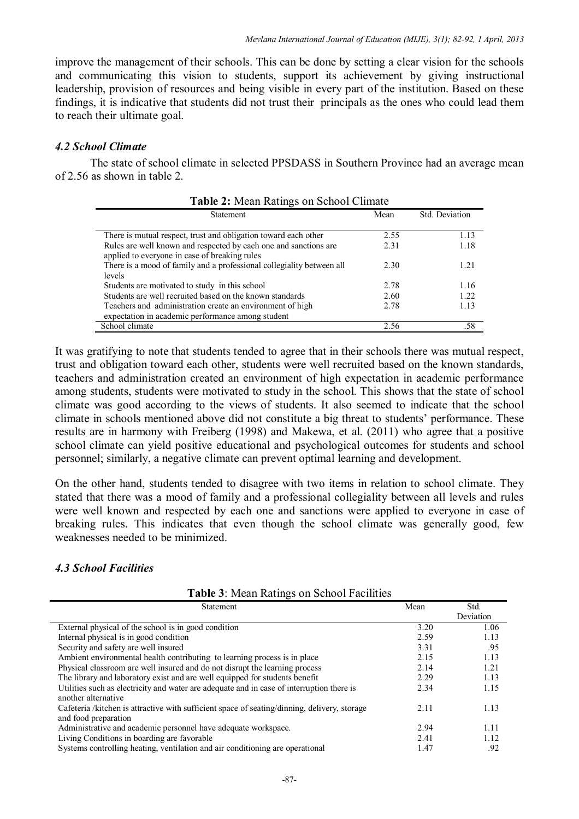improve the management of their schools. This can be done by setting a clear vision for the schools and communicating this vision to students, support its achievement by giving instructional leadership, provision of resources and being visible in every part of the institution. Based on these findings, it is indicative that students did not trust their principals as the ones who could lead them to reach their ultimate goal.

## *4.2 School Climate*

The state of school climate in selected PPSDASS in Southern Province had an average mean of 2.56 as shown in table 2.

| <b>Table 2.</b> Initial Kathles on School Chinate                     |      |                |  |
|-----------------------------------------------------------------------|------|----------------|--|
| Statement                                                             | Mean | Std. Deviation |  |
| There is mutual respect, trust and obligation toward each other       | 2.55 | 1.13           |  |
| Rules are well known and respected by each one and sanctions are      | 2.31 | 1.18           |  |
| applied to everyone in case of breaking rules                         |      |                |  |
| There is a mood of family and a professional collegiality between all | 2.30 | 1.21           |  |
| levels                                                                |      |                |  |
| Students are motivated to study in this school                        | 2.78 | 1.16           |  |
| Students are well recruited based on the known standards              | 2.60 | 1.22           |  |
| Teachers and administration create an environment of high             | 2.78 | 1.13           |  |
| expectation in academic performance among student                     |      |                |  |
| School climate                                                        | 2.56 | .58            |  |

| Table 2: Mean Ratings on School Climate |  |
|-----------------------------------------|--|
|-----------------------------------------|--|

It was gratifying to note that students tended to agree that in their schools there was mutual respect, trust and obligation toward each other, students were well recruited based on the known standards, teachers and administration created an environment of high expectation in academic performance among students, students were motivated to study in the school. This shows that the state of school climate was good according to the views of students. It also seemed to indicate that the school climate in schools mentioned above did not constitute a big threat to students' performance. These results are in harmony with Freiberg (1998) and Makewa, et al. (2011) who agree that a positive school climate can yield positive educational and psychological outcomes for students and school personnel; similarly, a negative climate can prevent optimal learning and development.

On the other hand, students tended to disagree with two items in relation to school climate. They stated that there was a mood of family and a professional collegiality between all levels and rules were well known and respected by each one and sanctions were applied to everyone in case of breaking rules. This indicates that even though the school climate was generally good, few weaknesses needed to be minimized.

### *4.3 School Facilities*

| Statement                                                                                                            | Mean | Std.<br>Deviation |
|----------------------------------------------------------------------------------------------------------------------|------|-------------------|
| External physical of the school is in good condition                                                                 | 3.20 | 1.06              |
| Internal physical is in good condition                                                                               | 2.59 | 1.13              |
| Security and safety are well insured                                                                                 | 3.31 | .95               |
| Ambient environmental health contributing to learning process is in place                                            | 2.15 | 1.13              |
| Physical classroom are well insured and do not disrupt the learning process                                          | 2.14 | 1.21              |
| The library and laboratory exist and are well equipped for students benefit                                          | 2.29 | 1.13              |
| Utilities such as electricity and water are adequate and in case of interruption there is<br>another alternative     | 2.34 | 1.15              |
| Cafeteria /kitchen is attractive with sufficient space of seating/dinning, delivery, storage<br>and food preparation | 2.11 | 1.13              |
| Administrative and academic personnel have adequate workspace.                                                       | 2.94 | 1.11              |
| Living Conditions in boarding are favorable                                                                          | 2.41 | 1.12              |
| Systems controlling heating, ventilation and air conditioning are operational                                        | 1.47 | .92               |

**Table 3**: Mean Ratings on School Facilities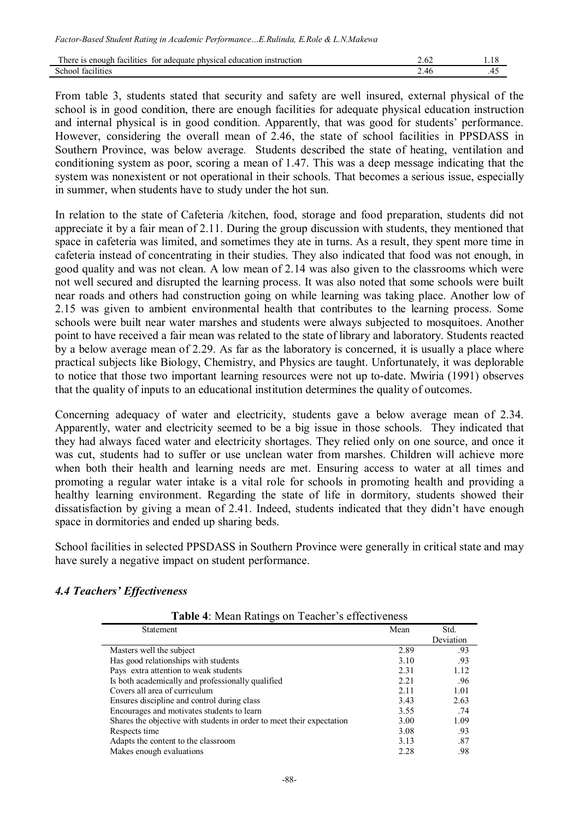| for adequate physical<br>education<br>n instruction<br>tacilities<br>There is enough |                   |  |
|--------------------------------------------------------------------------------------|-------------------|--|
| School<br>facilities                                                                 | - 40<br><b>سم</b> |  |

From table 3, students stated that security and safety are well insured, external physical of the school is in good condition, there are enough facilities for adequate physical education instruction and internal physical is in good condition. Apparently, that was good for students' performance. However, considering the overall mean of 2.46, the state of school facilities in PPSDASS in Southern Province, was below average. Students described the state of heating, ventilation and conditioning system as poor, scoring a mean of 1.47. This was a deep message indicating that the system was nonexistent or not operational in their schools. That becomes a serious issue, especially in summer, when students have to study under the hot sun.

In relation to the state of Cafeteria /kitchen, food, storage and food preparation, students did not appreciate it by a fair mean of 2.11. During the group discussion with students, they mentioned that space in cafeteria was limited, and sometimes they ate in turns. As a result, they spent more time in cafeteria instead of concentrating in their studies. They also indicated that food was not enough, in good quality and was not clean. A low mean of 2.14 was also given to the classrooms which were not well secured and disrupted the learning process. It was also noted that some schools were built near roads and others had construction going on while learning was taking place. Another low of 2.15 was given to ambient environmental health that contributes to the learning process. Some schools were built near water marshes and students were always subjected to mosquitoes. Another point to have received a fair mean was related to the state of library and laboratory. Students reacted by a below average mean of 2.29. As far as the laboratory is concerned, it is usually a place where practical subjects like Biology, Chemistry, and Physics are taught. Unfortunately, it was deplorable to notice that those two important learning resources were not up to-date. Mwiria (1991) observes that the quality of inputs to an educational institution determines the quality of outcomes.

Concerning adequacy of water and electricity, students gave a below average mean of 2.34. Apparently, water and electricity seemed to be a big issue in those schools. They indicated that they had always faced water and electricity shortages. They relied only on one source, and once it was cut, students had to suffer or use unclean water from marshes. Children will achieve more when both their health and learning needs are met. Ensuring access to water at all times and promoting a regular water intake is a vital role for schools in promoting health and providing a healthy learning environment. Regarding the state of life in dormitory, students showed their dissatisfaction by giving a mean of 2.41. Indeed, students indicated that they didn't have enough space in dormitories and ended up sharing beds.

School facilities in selected PPSDASS in Southern Province were generally in critical state and may have surely a negative impact on student performance.

# *4.4 Teachers' Effectiveness*

| Table 4: Mean Ratings on Teacher's effectiveness |  |
|--------------------------------------------------|--|
|--------------------------------------------------|--|

| Statement                                                             | Mean | Std.      |
|-----------------------------------------------------------------------|------|-----------|
|                                                                       |      | Deviation |
| Masters well the subject                                              | 2.89 | .93       |
| Has good relationships with students                                  | 3.10 | .93       |
| Pays extra attention to weak students                                 | 2.31 | 1.12      |
| Is both academically and professionally qualified                     | 2.21 | .96       |
| Covers all area of curriculum                                         | 2.11 | 1.01      |
| Ensures discipline and control during class                           | 3.43 | 2.63      |
| Encourages and motivates students to learn                            | 3.55 | .74       |
| Shares the objective with students in order to meet their expectation | 3.00 | 1.09      |
| Respects time                                                         | 3.08 | .93       |
| Adapts the content to the classroom                                   | 3.13 | .87       |
| Makes enough evaluations                                              | 2.28 | .98       |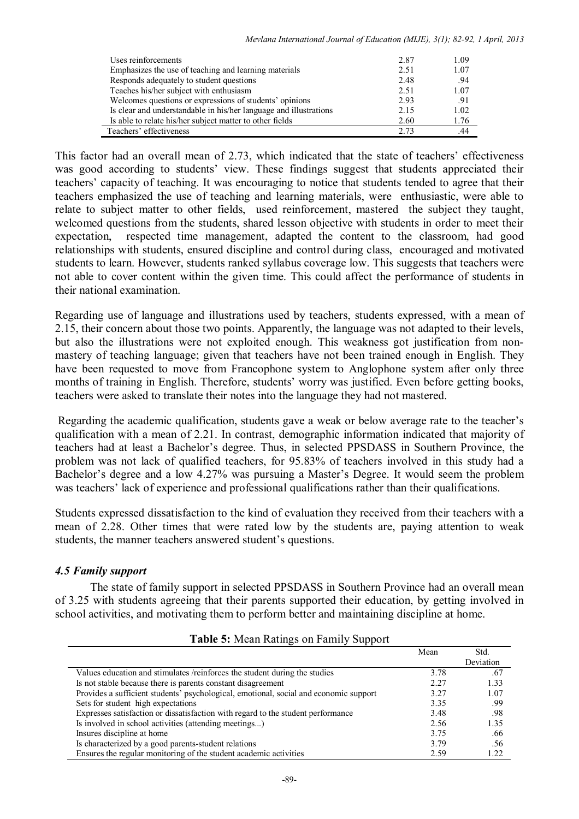| Uses reinforcements                                               | 2.87 | 1.09 |
|-------------------------------------------------------------------|------|------|
| Emphasizes the use of teaching and learning materials             | 2.51 | 1.07 |
| Responds adequately to student questions                          | 2.48 | .94  |
| Teaches his/her subject with enthusiasm                           | 2.51 | 1.07 |
| Welcomes questions or expressions of students' opinions           | 2.93 | .91  |
| Is clear and understandable in his/her language and illustrations | 2.15 | 1.02 |
| Is able to relate his/her subject matter to other fields          | 2.60 | 1.76 |
| Teachers' effectiveness                                           | 2.73 | .44  |

This factor had an overall mean of 2.73, which indicated that the state of teachers' effectiveness was good according to students' view. These findings suggest that students appreciated their teachers' capacity of teaching. It was encouraging to notice that students tended to agree that their teachers emphasized the use of teaching and learning materials, were enthusiastic, were able to relate to subject matter to other fields, used reinforcement, mastered the subject they taught, welcomed questions from the students, shared lesson objective with students in order to meet their expectation, respected time management, adapted the content to the classroom, had good relationships with students, ensured discipline and control during class, encouraged and motivated students to learn. However, students ranked syllabus coverage low. This suggests that teachers were not able to cover content within the given time. This could affect the performance of students in their national examination.

Regarding use of language and illustrations used by teachers, students expressed, with a mean of 2.15, their concern about those two points. Apparently, the language was not adapted to their levels, but also the illustrations were not exploited enough. This weakness got justification from nonmastery of teaching language; given that teachers have not been trained enough in English. They have been requested to move from Francophone system to Anglophone system after only three months of training in English. Therefore, students' worry was justified. Even before getting books, teachers were asked to translate their notes into the language they had not mastered.

Regarding the academic qualification, students gave a weak or below average rate to the teacher's qualification with a mean of 2.21. In contrast, demographic information indicated that majority of teachers had at least a Bachelor's degree. Thus, in selected PPSDASS in Southern Province, the problem was not lack of qualified teachers, for 95.83% of teachers involved in this study had a Bachelor's degree and a low 4.27% was pursuing a Master's Degree. It would seem the problem was teachers' lack of experience and professional qualifications rather than their qualifications.

Students expressed dissatisfaction to the kind of evaluation they received from their teachers with a mean of 2.28. Other times that were rated low by the students are, paying attention to weak students, the manner teachers answered student's questions.

# *4.5 Family support*

The state of family support in selected PPSDASS in Southern Province had an overall mean of 3.25 with students agreeing that their parents supported their education, by getting involved in school activities, and motivating them to perform better and maintaining discipline at home.

| . .                                                                                   |      |           |
|---------------------------------------------------------------------------------------|------|-----------|
|                                                                                       | Mean | Std.      |
|                                                                                       |      | Deviation |
| Values education and stimulates /reinforces the student during the studies            | 3.78 | .67       |
| Is not stable because there is parents constant disagreement                          | 2.27 | 1.33      |
| Provides a sufficient students' psychological, emotional, social and economic support | 3.27 | 1.07      |
| Sets for student high expectations                                                    | 3.35 | -99       |
| Expresses satisfaction or dissatisfaction with regard to the student performance      | 3.48 | .98       |
| Is involved in school activities (attending meetings)                                 | 2.56 | 1.35      |
| Insures discipline at home                                                            | 3.75 | .66       |
| Is characterized by a good parents-student relations                                  | 3.79 | .56       |
| Ensures the regular monitoring of the student academic activities                     | 2.59 | 1.22      |

#### **Table 5:** Mean Ratings on Family Support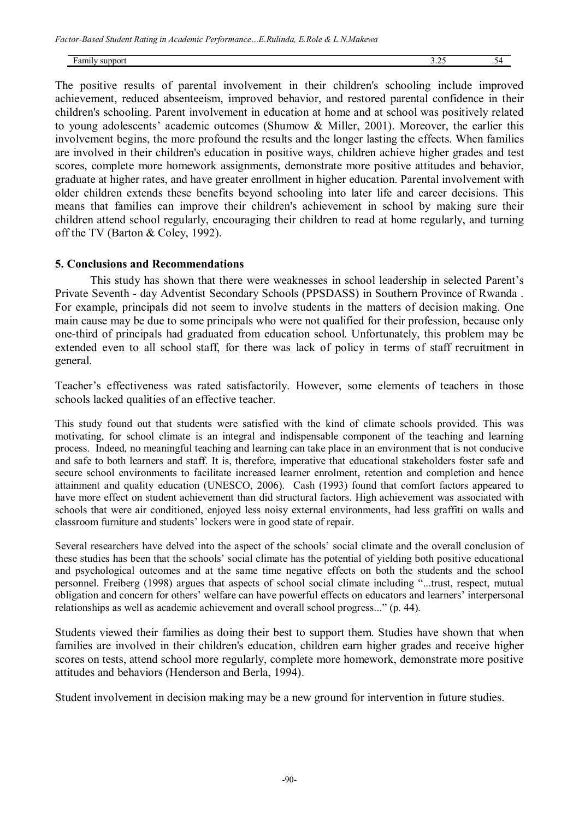Family support 3.25 .54

The positive results of parental involvement in their children's schooling include improved achievement, reduced absenteeism, improved behavior, and restored parental confidence in their children's schooling. Parent involvement in education at home and at school was positively related to young adolescents' academic outcomes (Shumow & Miller, 2001). Moreover, the earlier this involvement begins, the more profound the results and the longer lasting the effects. When families are involved in their children's education in positive ways, children achieve higher grades and test scores, complete more homework assignments, demonstrate more positive attitudes and behavior, graduate at higher rates, and have greater enrollment in higher education. Parental involvement with older children extends these benefits beyond schooling into later life and career decisions. This means that families can improve their children's achievement in school by making sure their children attend school regularly, encouraging their children to read at home regularly, and turning off the TV (Barton & Coley, 1992).

#### **5. Conclusions and Recommendations**

This study has shown that there were weaknesses in school leadership in selected Parent's Private Seventh - day Adventist Secondary Schools (PPSDASS) in Southern Province of Rwanda . For example, principals did not seem to involve students in the matters of decision making. One main cause may be due to some principals who were not qualified for their profession, because only one-third of principals had graduated from education school. Unfortunately, this problem may be extended even to all school staff, for there was lack of policy in terms of staff recruitment in general.

Teacher's effectiveness was rated satisfactorily. However, some elements of teachers in those schools lacked qualities of an effective teacher.

This study found out that students were satisfied with the kind of climate schools provided. This was motivating, for school climate is an integral and indispensable component of the teaching and learning process. Indeed, no meaningful teaching and learning can take place in an environment that is not conducive and safe to both learners and staff. It is, therefore, imperative that educational stakeholders foster safe and secure school environments to facilitate increased learner enrolment, retention and completion and hence attainment and quality education (UNESCO, 2006). Cash (1993) found that comfort factors appeared to have more effect on student achievement than did structural factors. High achievement was associated with schools that were air conditioned, enjoyed less noisy external environments, had less graffiti on walls and classroom furniture and students' lockers were in good state of repair.

Several researchers have delved into the aspect of the schools' social climate and the overall conclusion of these studies has been that the schools' social climate has the potential of yielding both positive educational and psychological outcomes and at the same time negative effects on both the students and the school personnel. Freiberg (1998) argues that aspects of school social climate including "...trust, respect, mutual obligation and concern for others' welfare can have powerful effects on educators and learners' interpersonal relationships as well as academic achievement and overall school progress..." (p. 44).

Students viewed their families as doing their best to support them. Studies have shown that when families are involved in their children's education, children earn higher grades and receive higher scores on tests, attend school more regularly, complete more homework, demonstrate more positive attitudes and behaviors (Henderson and Berla, 1994).

Student involvement in decision making may be a new ground for intervention in future studies.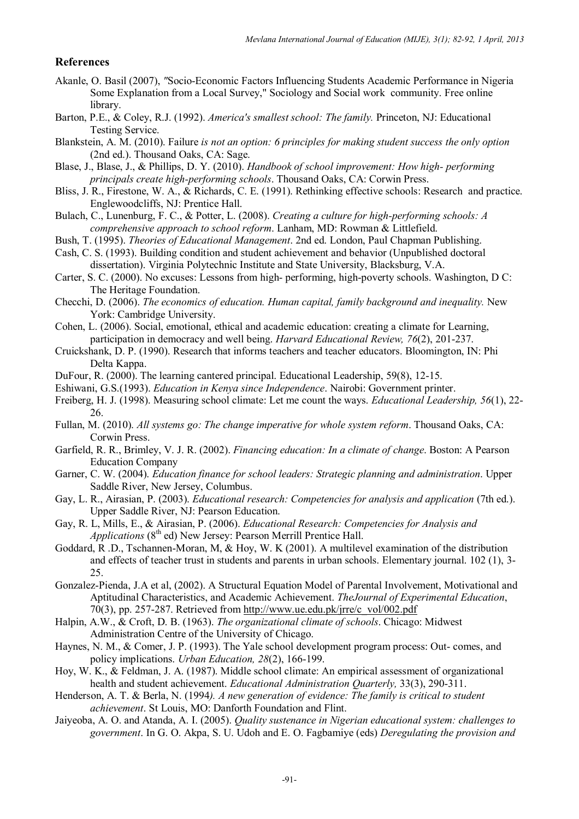#### **References**

- Akanle, O. Basil (2007), *"*Socio-Economic Factors Influencing Students Academic Performance in Nigeria Some Explanation from a Local Survey," Sociology and Social work community. Free online library.
- Barton, P.E., & Coley, R.J. (1992). *America's smallest school: The family.* Princeton, NJ: Educational Testing Service.
- Blankstein, A. M. (2010). Failure *is not an option: 6 principles for making student success the only option*  (2nd ed.). Thousand Oaks, CA: Sage.
- Blase, J., Blase, J., & Phillips, D. Y. (2010). *Handbook of school improvement: How high- performing principals create high-performing schools*. Thousand Oaks, CA: Corwin Press.
- Bliss, J. R., Firestone, W. A., & Richards, C. E. (1991). Rethinking effective schools: Research and practice. Englewoodcliffs, NJ: Prentice Hall.
- Bulach, C., Lunenburg, F. C., & Potter, L. (2008). *Creating a culture for high-performing schools: A comprehensive approach to school reform*. Lanham, MD: Rowman & Littlefield.
- Bush, T. (1995). *Theories of Educational Management*. 2nd ed. London, Paul Chapman Publishing.
- Cash, C. S. (1993). Building condition and student achievement and behavior (Unpublished doctoral dissertation). Virginia Polytechnic Institute and State University, Blacksburg, V.A.
- Carter, S. C. (2000). No excuses: Lessons from high- performing, high-poverty schools. Washington, D C: The Heritage Foundation.
- Checchi, D. (2006). *The economics of education. Human capital, family background and inequality.* New York: Cambridge University.
- Cohen, L. (2006). Social, emotional, ethical and academic education: creating a climate for Learning, participation in democracy and well being. *Harvard Educational Review, 76*(2), 201-237.
- Cruickshank, D. P. (1990). Research that informs teachers and teacher educators. Bloomington, IN: Phi Delta Kappa.
- DuFour, R. (2000). The learning cantered principal. Educational Leadership, 59(8), 12-15.
- Eshiwani, G.S.(1993). *Education in Kenya since Independence*. Nairobi: Government printer.
- Freiberg, H. J. (1998). Measuring school climate: Let me count the ways. *Educational Leadership, 56*(1), 22- 26.
- Fullan, M. (2010). *All systems go: The change imperative for whole system reform*. Thousand Oaks, CA: Corwin Press.
- Garfield, R. R., Brimley, V. J. R. (2002). *Financing education: In a climate of change*. Boston: A Pearson Education Company
- Garner, C. W. (2004). *Education finance for school leaders: Strategic planning and administration*. Upper Saddle River, New Jersey, Columbus.
- Gay, L. R., Airasian, P. (2003). *Educational research: Competencies for analysis and application* (7th ed.). Upper Saddle River, NJ: Pearson Education.
- Gay, R. L, Mills, E., & Airasian, P. (2006). *Educational Research: Competencies for Analysis and Applications* (8<sup>th</sup> ed) New Jersey: Pearson Merrill Prentice Hall.
- Goddard, R .D., Tschannen-Moran, M, & Hoy, W. K (2001). A multilevel examination of the distribution and effects of teacher trust in students and parents in urban schools. Elementary journal. 102 (1), 3- 25.
- Gonzalez-Pienda, J.A et al, (2002). A Structural Equation Model of Parental Involvement, Motivational and Aptitudinal Characteristics, and Academic Achievement. *TheJournal of Experimental Education*, 70(3), pp. 257-287. Retrieved from http://www.ue.edu.pk/jrre/c\_vol/002.pdf
- Halpin, A.W., & Croft, D. B. (1963). *The organizational climate of schools*. Chicago: Midwest Administration Centre of the University of Chicago.
- Haynes, N. M., & Comer, J. P. (1993). The Yale school development program process: Out- comes, and policy implications. *Urban Education, 28*(2), 166-199.
- Hoy, W. K., & Feldman, J. A. (1987). Middle school climate: An empirical assessment of organizational health and student achievement. *Educational Administration Quarterly,* 33(3), 290-311.
- Henderson, A. T. & Berla, N. (1994*). A new generation of evidence: The family is critical to student achievement*. St Louis, MO: Danforth Foundation and Flint.
- Jaiyeoba, A. O. and Atanda, A. I. (2005). *Quality sustenance in Nigerian educational system: challenges to government*. In G. O. Akpa, S. U. Udoh and E. O. Fagbamiye (eds) *Deregulating the provision and*